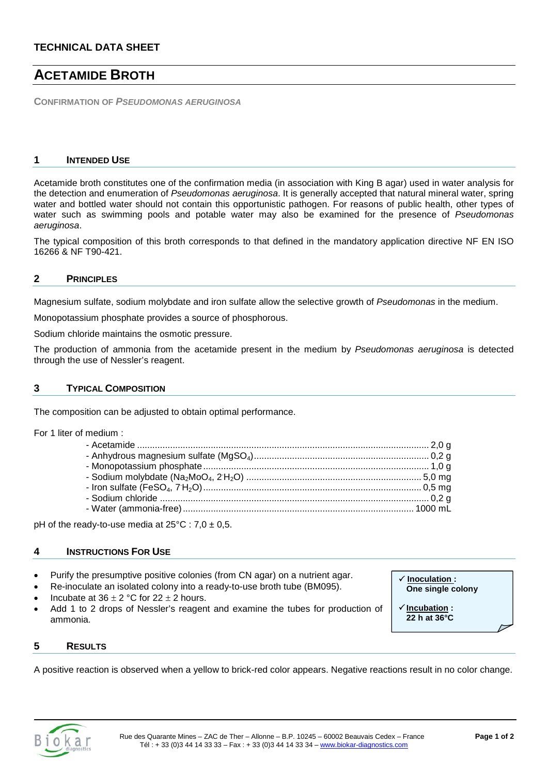# **ACETAMIDE BROTH**

**CONFIRMATION OF** *PSEUDOMONAS AERUGINOSA*

### **1 INTENDED USE**

Acetamide broth constitutes one of the confirmation media (in association with King B agar) used in water analysis for the detection and enumeration of *Pseudomonas aeruginosa*. It is generally accepted that natural mineral water, spring water and bottled water should not contain this opportunistic pathogen. For reasons of public health, other types of water such as swimming pools and potable water may also be examined for the presence of *Pseudomonas aeruginosa*.

The typical composition of this broth corresponds to that defined in the mandatory application directive NF EN ISO 16266 & NF T90-421.

### **2 PRINCIPLES**

Magnesium sulfate, sodium molybdate and iron sulfate allow the selective growth of *Pseudomonas* in the medium.

Monopotassium phosphate provides a source of phosphorous.

Sodium chloride maintains the osmotic pressure.

The production of ammonia from the acetamide present in the medium by *Pseudomonas aeruginosa* is detected through the use of Nessler's reagent.

# **3 TYPICAL COMPOSITION**

The composition can be adjusted to obtain optimal performance.

For 1 liter of medium :

pH of the ready-to-use media at  $25^{\circ}$ C : 7,0  $\pm$  0,5.

### **4 INSTRUCTIONS FOR USE**

- Purify the presumptive positive colonies (from CN agar) on a nutrient agar.
- Re-inoculate an isolated colony into a ready-to-use broth tube (BM095).
- Incubate at  $36 \pm 2$  °C for  $22 \pm 2$  hours.
- Add 1 to 2 drops of Nessler's reagent and examine the tubes for production of ammonia.

 **Inoculation : One single colony**

 **Incubation : 22 h at 36°C**

### **5 RESULTS**

A positive reaction is observed when a yellow to brick-red color appears. Negative reactions result in no color change.